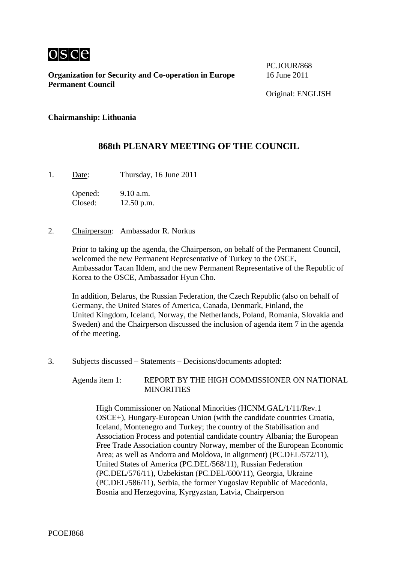

PC.JOUR/868

### **Chairmanship: Lithuania**

## **868th PLENARY MEETING OF THE COUNCIL**

1. Date: Thursday, 16 June 2011

Opened: 9.10 a.m. Closed: 12.50 p.m.

2. Chairperson: Ambassador R. Norkus

Prior to taking up the agenda, the Chairperson, on behalf of the Permanent Council, welcomed the new Permanent Representative of Turkey to the OSCE, Ambassador Tacan Ildem, and the new Permanent Representative of the Republic of Korea to the OSCE, Ambassador Hyun Cho.

In addition, Belarus, the Russian Federation, the Czech Republic (also on behalf of Germany, the United States of America, Canada, Denmark, Finland, the United Kingdom, Iceland, Norway, the Netherlands, Poland, Romania, Slovakia and Sweden) and the Chairperson discussed the inclusion of agenda item 7 in the agenda of the meeting.

3. Subjects discussed – Statements – Decisions/documents adopted:

Agenda item 1: REPORT BY THE HIGH COMMISSIONER ON NATIONAL **MINORITIES** 

High Commissioner on National Minorities (HCNM.GAL/1/11/Rev.1 OSCE+), Hungary-European Union (with the candidate countries Croatia, Iceland, Montenegro and Turkey; the country of the Stabilisation and Association Process and potential candidate country Albania; the European Free Trade Association country Norway, member of the European Economic Area; as well as Andorra and Moldova, in alignment) (PC.DEL/572/11), United States of America (PC.DEL/568/11), Russian Federation (PC.DEL/576/11), Uzbekistan (PC.DEL/600/11), Georgia, Ukraine (PC.DEL/586/11), Serbia, the former Yugoslav Republic of Macedonia, Bosnia and Herzegovina, Kyrgyzstan, Latvia, Chairperson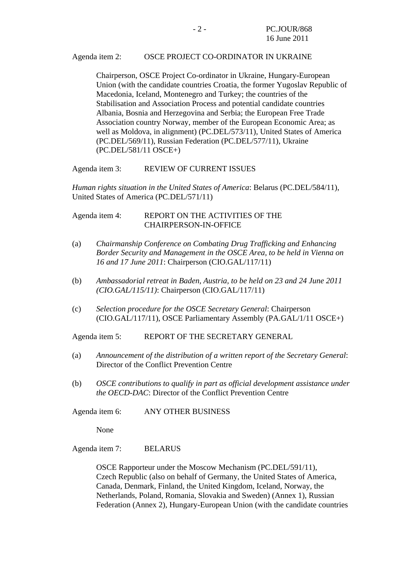#### Agenda item 2: OSCE PROJECT CO-ORDINATOR IN UKRAINE

Chairperson, OSCE Project Co-ordinator in Ukraine, Hungary-European Union (with the candidate countries Croatia, the former Yugoslav Republic of Macedonia, Iceland, Montenegro and Turkey; the countries of the Stabilisation and Association Process and potential candidate countries Albania, Bosnia and Herzegovina and Serbia; the European Free Trade Association country Norway, member of the European Economic Area; as well as Moldova, in alignment) (PC.DEL/573/11), United States of America (PC.DEL/569/11), Russian Federation (PC.DEL/577/11), Ukraine (PC.DEL/581/11 OSCE+)

Agenda item 3: REVIEW OF CURRENT ISSUES

*Human rights situation in the United States of America*: Belarus (PC.DEL/584/11), United States of America (PC.DEL/571/11)

Agenda item 4: REPORT ON THE ACTIVITIES OF THE CHAIRPERSON-IN-OFFICE

- (a) *Chairmanship Conference on Combating Drug Trafficking and Enhancing Border Security and Management in the OSCE Area, to be held in Vienna on 16 and 17 June 2011*: Chairperson (CIO.GAL/117/11)
- (b) *Ambassadorial retreat in Baden, Austria, to be held on 23 and 24 June 2011 (CIO.GAL/115/11)*: Chairperson (CIO.GAL/117/11)
- (c) *Selection procedure for the OSCE Secretary General*: Chairperson (CIO.GAL/117/11), OSCE Parliamentary Assembly (PA.GAL/1/11 OSCE+)

Agenda item 5: REPORT OF THE SECRETARY GENERAL

- (a) *Announcement of the distribution of a written report of the Secretary General*: Director of the Conflict Prevention Centre
- (b) *OSCE contributions to qualify in part as official development assistance under the OECD-DAC*: Director of the Conflict Prevention Centre

Agenda item 6: ANY OTHER BUSINESS

None

Agenda item 7: BELARUS

OSCE Rapporteur under the Moscow Mechanism (PC.DEL/591/11), Czech Republic (also on behalf of Germany, the United States of America, Canada, Denmark, Finland, the United Kingdom, Iceland, Norway, the Netherlands, Poland, Romania, Slovakia and Sweden) (Annex 1), Russian Federation (Annex 2), Hungary-European Union (with the candidate countries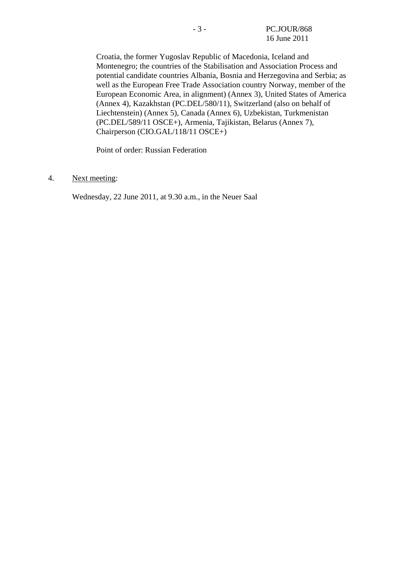Croatia, the former Yugoslav Republic of Macedonia, Iceland and Montenegro; the countries of the Stabilisation and Association Process and potential candidate countries Albania, Bosnia and Herzegovina and Serbia; as well as the European Free Trade Association country Norway, member of the European Economic Area, in alignment) (Annex 3), United States of America (Annex 4), Kazakhstan (PC.DEL/580/11), Switzerland (also on behalf of Liechtenstein) (Annex 5), Canada (Annex 6), Uzbekistan, Turkmenistan (PC.DEL/589/11 OSCE+), Armenia, Tajikistan, Belarus (Annex 7), Chairperson (CIO.GAL/118/11 OSCE+)

Point of order: Russian Federation

#### 4. Next meeting:

Wednesday, 22 June 2011, at 9.30 a.m., in the Neuer Saal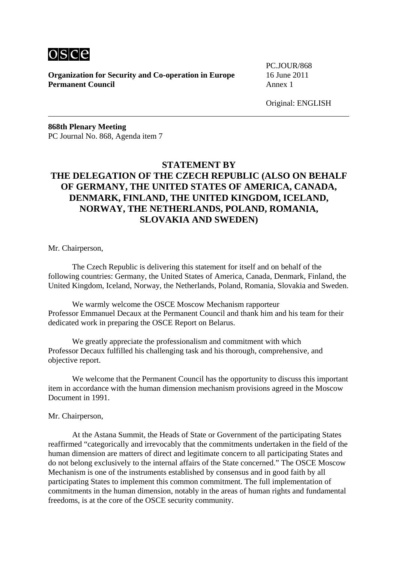

PC.JOUR/868

Original: ENGLISH

**868th Plenary Meeting**  PC Journal No. 868, Agenda item 7

# **STATEMENT BY THE DELEGATION OF THE CZECH REPUBLIC (ALSO ON BEHALF OF GERMANY, THE UNITED STATES OF AMERICA, CANADA, DENMARK, FINLAND, THE UNITED KINGDOM, ICELAND, NORWAY, THE NETHERLANDS, POLAND, ROMANIA, SLOVAKIA AND SWEDEN)**

Mr. Chairperson,

 The Czech Republic is delivering this statement for itself and on behalf of the following countries: Germany, the United States of America, Canada, Denmark, Finland, the United Kingdom, Iceland, Norway, the Netherlands, Poland, Romania, Slovakia and Sweden.

 We warmly welcome the OSCE Moscow Mechanism rapporteur Professor Emmanuel Decaux at the Permanent Council and thank him and his team for their dedicated work in preparing the OSCE Report on Belarus.

 We greatly appreciate the professionalism and commitment with which Professor Decaux fulfilled his challenging task and his thorough, comprehensive, and objective report.

 We welcome that the Permanent Council has the opportunity to discuss this important item in accordance with the human dimension mechanism provisions agreed in the Moscow Document in 1991.

#### Mr. Chairperson,

 At the Astana Summit, the Heads of State or Government of the participating States reaffirmed "categorically and irrevocably that the commitments undertaken in the field of the human dimension are matters of direct and legitimate concern to all participating States and do not belong exclusively to the internal affairs of the State concerned." The OSCE Moscow Mechanism is one of the instruments established by consensus and in good faith by all participating States to implement this common commitment. The full implementation of commitments in the human dimension, notably in the areas of human rights and fundamental freedoms, is at the core of the OSCE security community.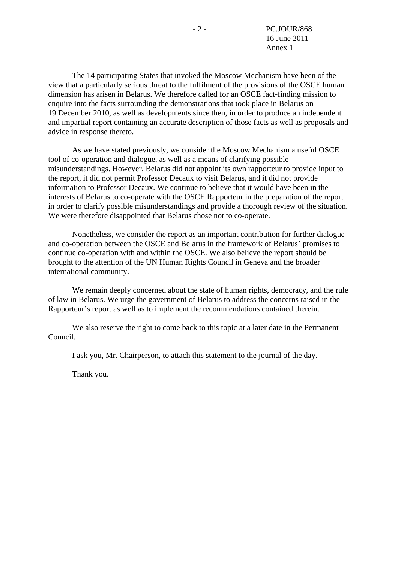The 14 participating States that invoked the Moscow Mechanism have been of the view that a particularly serious threat to the fulfilment of the provisions of the OSCE human dimension has arisen in Belarus. We therefore called for an OSCE fact-finding mission to enquire into the facts surrounding the demonstrations that took place in Belarus on 19 December 2010, as well as developments since then, in order to produce an independent and impartial report containing an accurate description of those facts as well as proposals and advice in response thereto.

 As we have stated previously, we consider the Moscow Mechanism a useful OSCE tool of co-operation and dialogue, as well as a means of clarifying possible misunderstandings. However, Belarus did not appoint its own rapporteur to provide input to the report, it did not permit Professor Decaux to visit Belarus, and it did not provide information to Professor Decaux. We continue to believe that it would have been in the interests of Belarus to co-operate with the OSCE Rapporteur in the preparation of the report in order to clarify possible misunderstandings and provide a thorough review of the situation. We were therefore disappointed that Belarus chose not to co-operate.

 Nonetheless, we consider the report as an important contribution for further dialogue and co-operation between the OSCE and Belarus in the framework of Belarus' promises to continue co-operation with and within the OSCE. We also believe the report should be brought to the attention of the UN Human Rights Council in Geneva and the broader international community.

 We remain deeply concerned about the state of human rights, democracy, and the rule of law in Belarus. We urge the government of Belarus to address the concerns raised in the Rapporteur's report as well as to implement the recommendations contained therein.

 We also reserve the right to come back to this topic at a later date in the Permanent Council.

I ask you, Mr. Chairperson, to attach this statement to the journal of the day.

Thank you.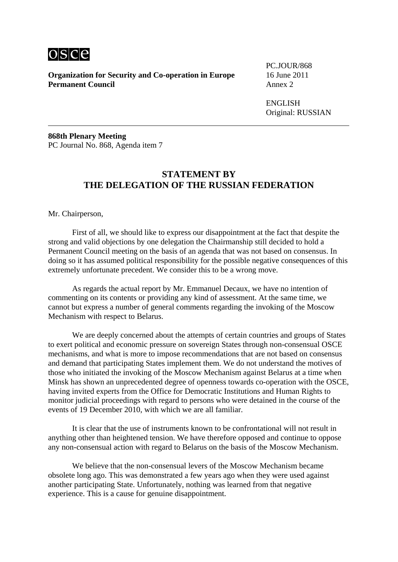

PC.JOUR/868

 ENGLISH Original: RUSSIAN

**868th Plenary Meeting**  PC Journal No. 868, Agenda item 7

## **STATEMENT BY THE DELEGATION OF THE RUSSIAN FEDERATION**

Mr. Chairperson,

 First of all, we should like to express our disappointment at the fact that despite the strong and valid objections by one delegation the Chairmanship still decided to hold a Permanent Council meeting on the basis of an agenda that was not based on consensus. In doing so it has assumed political responsibility for the possible negative consequences of this extremely unfortunate precedent. We consider this to be a wrong move.

 As regards the actual report by Mr. Emmanuel Decaux, we have no intention of commenting on its contents or providing any kind of assessment. At the same time, we cannot but express a number of general comments regarding the invoking of the Moscow Mechanism with respect to Belarus.

 We are deeply concerned about the attempts of certain countries and groups of States to exert political and economic pressure on sovereign States through non-consensual OSCE mechanisms, and what is more to impose recommendations that are not based on consensus and demand that participating States implement them. We do not understand the motives of those who initiated the invoking of the Moscow Mechanism against Belarus at a time when Minsk has shown an unprecedented degree of openness towards co-operation with the OSCE, having invited experts from the Office for Democratic Institutions and Human Rights to monitor judicial proceedings with regard to persons who were detained in the course of the events of 19 December 2010, with which we are all familiar.

 It is clear that the use of instruments known to be confrontational will not result in anything other than heightened tension. We have therefore opposed and continue to oppose any non-consensual action with regard to Belarus on the basis of the Moscow Mechanism.

 We believe that the non-consensual levers of the Moscow Mechanism became obsolete long ago. This was demonstrated a few years ago when they were used against another participating State. Unfortunately, nothing was learned from that negative experience. This is a cause for genuine disappointment.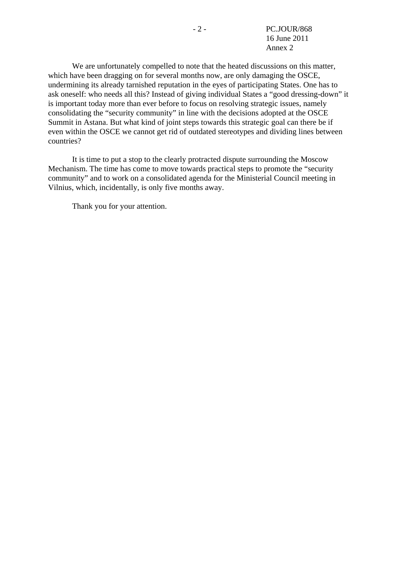We are unfortunately compelled to note that the heated discussions on this matter, which have been dragging on for several months now, are only damaging the OSCE, undermining its already tarnished reputation in the eyes of participating States. One has to ask oneself: who needs all this? Instead of giving individual States a "good dressing-down" it is important today more than ever before to focus on resolving strategic issues, namely consolidating the "security community" in line with the decisions adopted at the OSCE Summit in Astana. But what kind of joint steps towards this strategic goal can there be if even within the OSCE we cannot get rid of outdated stereotypes and dividing lines between countries?

 It is time to put a stop to the clearly protracted dispute surrounding the Moscow Mechanism. The time has come to move towards practical steps to promote the "security community" and to work on a consolidated agenda for the Ministerial Council meeting in Vilnius, which, incidentally, is only five months away.

Thank you for your attention.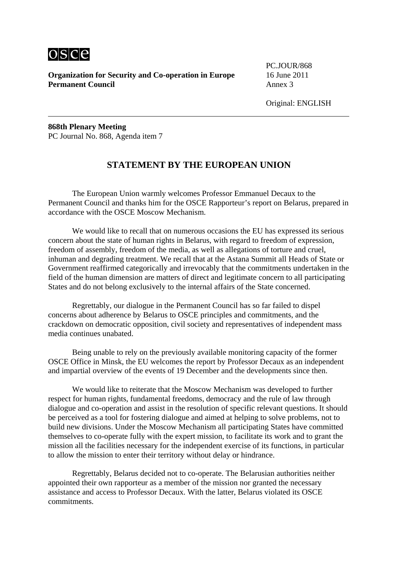

PC.JOUR/868

Original: ENGLISH

**868th Plenary Meeting**  PC Journal No. 868, Agenda item 7

### **STATEMENT BY THE EUROPEAN UNION**

 The European Union warmly welcomes Professor Emmanuel Decaux to the Permanent Council and thanks him for the OSCE Rapporteur's report on Belarus, prepared in accordance with the OSCE Moscow Mechanism.

 We would like to recall that on numerous occasions the EU has expressed its serious concern about the state of human rights in Belarus, with regard to freedom of expression, freedom of assembly, freedom of the media, as well as allegations of torture and cruel, inhuman and degrading treatment. We recall that at the Astana Summit all Heads of State or Government reaffirmed categorically and irrevocably that the commitments undertaken in the field of the human dimension are matters of direct and legitimate concern to all participating States and do not belong exclusively to the internal affairs of the State concerned.

 Regrettably, our dialogue in the Permanent Council has so far failed to dispel concerns about adherence by Belarus to OSCE principles and commitments, and the crackdown on democratic opposition, civil society and representatives of independent mass media continues unabated.

 Being unable to rely on the previously available monitoring capacity of the former OSCE Office in Minsk, the EU welcomes the report by Professor Decaux as an independent and impartial overview of the events of 19 December and the developments since then.

 We would like to reiterate that the Moscow Mechanism was developed to further respect for human rights, fundamental freedoms, democracy and the rule of law through dialogue and co-operation and assist in the resolution of specific relevant questions. It should be perceived as a tool for fostering dialogue and aimed at helping to solve problems, not to build new divisions. Under the Moscow Mechanism all participating States have committed themselves to co-operate fully with the expert mission, to facilitate its work and to grant the mission all the facilities necessary for the independent exercise of its functions, in particular to allow the mission to enter their territory without delay or hindrance.

 Regrettably, Belarus decided not to co-operate. The Belarusian authorities neither appointed their own rapporteur as a member of the mission nor granted the necessary assistance and access to Professor Decaux. With the latter, Belarus violated its OSCE commitments.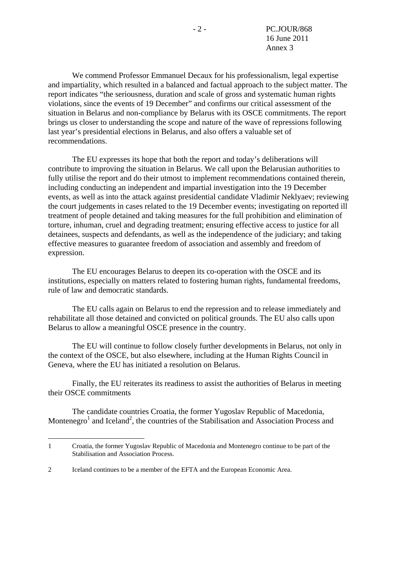We commend Professor Emmanuel Decaux for his professionalism, legal expertise and impartiality, which resulted in a balanced and factual approach to the subject matter. The report indicates "the seriousness, duration and scale of gross and systematic human rights violations, since the events of 19 December" and confirms our critical assessment of the situation in Belarus and non-compliance by Belarus with its OSCE commitments. The report brings us closer to understanding the scope and nature of the wave of repressions following last year's presidential elections in Belarus, and also offers a valuable set of recommendations.

 The EU expresses its hope that both the report and today's deliberations will contribute to improving the situation in Belarus. We call upon the Belarusian authorities to fully utilise the report and do their utmost to implement recommendations contained therein, including conducting an independent and impartial investigation into the 19 December events, as well as into the attack against presidential candidate Vladimir Neklyaev; reviewing the court judgements in cases related to the 19 December events; investigating on reported ill treatment of people detained and taking measures for the full prohibition and elimination of torture, inhuman, cruel and degrading treatment; ensuring effective access to justice for all detainees, suspects and defendants, as well as the independence of the judiciary; and taking effective measures to guarantee freedom of association and assembly and freedom of expression.

 The EU encourages Belarus to deepen its co-operation with the OSCE and its institutions, especially on matters related to fostering human rights, fundamental freedoms, rule of law and democratic standards.

 The EU calls again on Belarus to end the repression and to release immediately and rehabilitate all those detained and convicted on political grounds. The EU also calls upon Belarus to allow a meaningful OSCE presence in the country.

 The EU will continue to follow closely further developments in Belarus, not only in the context of the OSCE, but also elsewhere, including at the Human Rights Council in Geneva, where the EU has initiated a resolution on Belarus.

 Finally, the EU reiterates its readiness to assist the authorities of Belarus in meeting their OSCE commitments

 The candidate countries Croatia, the former Yugoslav Republic of Macedonia, Montenegro<sup>1</sup> and Iceland<sup>2</sup>, the countries of the Stabilisation and Association Process and

1

<sup>1</sup> Croatia, the former Yugoslav Republic of Macedonia and Montenegro continue to be part of the Stabilisation and Association Process.

<sup>2</sup> Iceland continues to be a member of the EFTA and the European Economic Area.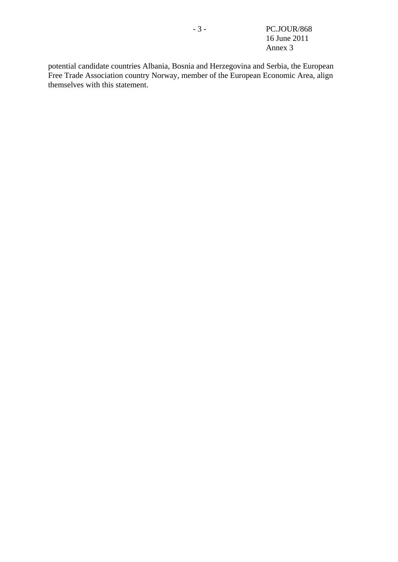potential candidate countries Albania, Bosnia and Herzegovina and Serbia, the European Free Trade Association country Norway, member of the European Economic Area, align themselves with this statement.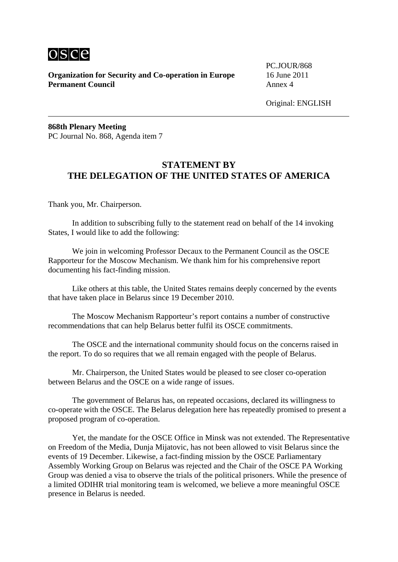

PC.JOUR/868

**868th Plenary Meeting**  PC Journal No. 868, Agenda item 7

## **STATEMENT BY THE DELEGATION OF THE UNITED STATES OF AMERICA**

Thank you, Mr. Chairperson.

 In addition to subscribing fully to the statement read on behalf of the 14 invoking States, I would like to add the following:

 We join in welcoming Professor Decaux to the Permanent Council as the OSCE Rapporteur for the Moscow Mechanism. We thank him for his comprehensive report documenting his fact-finding mission.

 Like others at this table, the United States remains deeply concerned by the events that have taken place in Belarus since 19 December 2010.

 The Moscow Mechanism Rapporteur's report contains a number of constructive recommendations that can help Belarus better fulfil its OSCE commitments.

 The OSCE and the international community should focus on the concerns raised in the report. To do so requires that we all remain engaged with the people of Belarus.

 Mr. Chairperson, the United States would be pleased to see closer co-operation between Belarus and the OSCE on a wide range of issues.

 The government of Belarus has, on repeated occasions, declared its willingness to co-operate with the OSCE. The Belarus delegation here has repeatedly promised to present a proposed program of co-operation.

 Yet, the mandate for the OSCE Office in Minsk was not extended. The Representative on Freedom of the Media, Dunja Mijatovic, has not been allowed to visit Belarus since the events of 19 December. Likewise, a fact-finding mission by the OSCE Parliamentary Assembly Working Group on Belarus was rejected and the Chair of the OSCE PA Working Group was denied a visa to observe the trials of the political prisoners. While the presence of a limited ODIHR trial monitoring team is welcomed, we believe a more meaningful OSCE presence in Belarus is needed.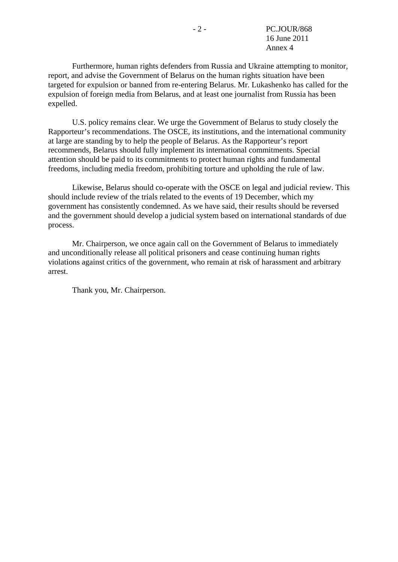Furthermore, human rights defenders from Russia and Ukraine attempting to monitor, report, and advise the Government of Belarus on the human rights situation have been targeted for expulsion or banned from re-entering Belarus. Mr. Lukashenko has called for the expulsion of foreign media from Belarus, and at least one journalist from Russia has been expelled.

 U.S. policy remains clear. We urge the Government of Belarus to study closely the Rapporteur's recommendations. The OSCE, its institutions, and the international community at large are standing by to help the people of Belarus. As the Rapporteur's report recommends, Belarus should fully implement its international commitments. Special attention should be paid to its commitments to protect human rights and fundamental freedoms, including media freedom, prohibiting torture and upholding the rule of law.

 Likewise, Belarus should co-operate with the OSCE on legal and judicial review. This should include review of the trials related to the events of 19 December, which my government has consistently condemned. As we have said, their results should be reversed and the government should develop a judicial system based on international standards of due process.

 Mr. Chairperson, we once again call on the Government of Belarus to immediately and unconditionally release all political prisoners and cease continuing human rights violations against critics of the government, who remain at risk of harassment and arbitrary arrest.

Thank you, Mr. Chairperson.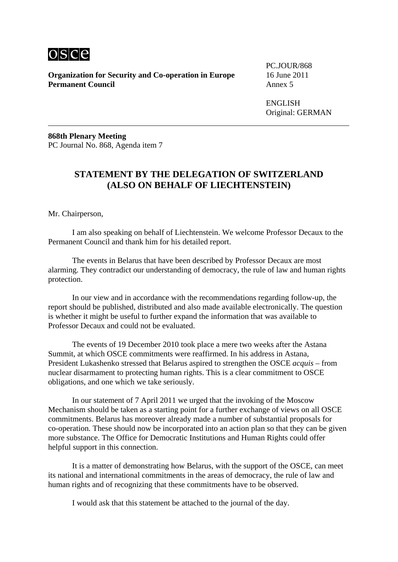

PC.JOUR/868

 ENGLISH Original: GERMAN

**868th Plenary Meeting**  PC Journal No. 868, Agenda item 7

# **STATEMENT BY THE DELEGATION OF SWITZERLAND (ALSO ON BEHALF OF LIECHTENSTEIN)**

Mr. Chairperson,

 I am also speaking on behalf of Liechtenstein. We welcome Professor Decaux to the Permanent Council and thank him for his detailed report.

 The events in Belarus that have been described by Professor Decaux are most alarming. They contradict our understanding of democracy, the rule of law and human rights protection.

 In our view and in accordance with the recommendations regarding follow-up, the report should be published, distributed and also made available electronically. The question is whether it might be useful to further expand the information that was available to Professor Decaux and could not be evaluated.

 The events of 19 December 2010 took place a mere two weeks after the Astana Summit, at which OSCE commitments were reaffirmed. In his address in Astana, President Lukashenko stressed that Belarus aspired to strengthen the OSCE *acquis* – from nuclear disarmament to protecting human rights. This is a clear commitment to OSCE obligations, and one which we take seriously.

 In our statement of 7 April 2011 we urged that the invoking of the Moscow Mechanism should be taken as a starting point for a further exchange of views on all OSCE commitments. Belarus has moreover already made a number of substantial proposals for co-operation. These should now be incorporated into an action plan so that they can be given more substance. The Office for Democratic Institutions and Human Rights could offer helpful support in this connection.

 It is a matter of demonstrating how Belarus, with the support of the OSCE, can meet its national and international commitments in the areas of democracy, the rule of law and human rights and of recognizing that these commitments have to be observed.

I would ask that this statement be attached to the journal of the day.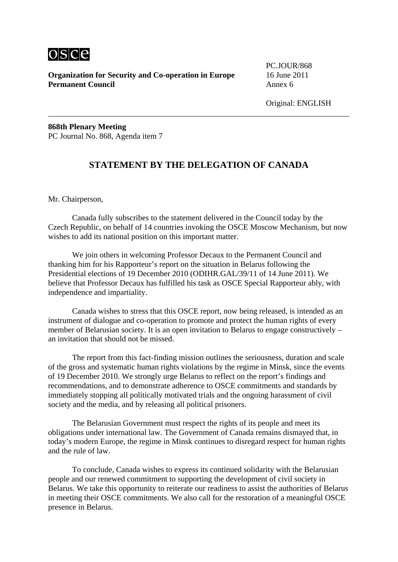

PC.JOUR/868

Original: ENGLISH

**868th Plenary Meeting**  PC Journal No. 868, Agenda item 7

### **STATEMENT BY THE DELEGATION OF CANADA**

Mr. Chairperson,

 Canada fully subscribes to the statement delivered in the Council today by the Czech Republic, on behalf of 14 countries invoking the OSCE Moscow Mechanism, but now wishes to add its national position on this important matter.

 We join others in welcoming Professor Decaux to the Permanent Council and thanking him for his Rapporteur's report on the situation in Belarus following the Presidential elections of 19 December 2010 (ODIHR.GAL/39/11 of 14 June 2011). We believe that Professor Decaux has fulfilled his task as OSCE Special Rapporteur ably, with independence and impartiality.

 Canada wishes to stress that this OSCE report, now being released, is intended as an instrument of dialogue and co-operation to promote and protect the human rights of every member of Belarusian society. It is an open invitation to Belarus to engage constructively – an invitation that should not be missed.

 The report from this fact-finding mission outlines the seriousness, duration and scale of the gross and systematic human rights violations by the regime in Minsk, since the events of 19 December 2010. We strongly urge Belarus to reflect on the report's findings and recommendations, and to demonstrate adherence to OSCE commitments and standards by immediately stopping all politically motivated trials and the ongoing harassment of civil society and the media, and by releasing all political prisoners.

 The Belarusian Government must respect the rights of its people and meet its obligations under international law. The Government of Canada remains dismayed that, in today's modern Europe, the regime in Minsk continues to disregard respect for human rights and the rule of law.

 To conclude, Canada wishes to express its continued solidarity with the Belarusian people and our renewed commitment to supporting the development of civil society in Belarus. We take this opportunity to reiterate our readiness to assist the authorities of Belarus in meeting their OSCE commitments. We also call for the restoration of a meaningful OSCE presence in Belarus.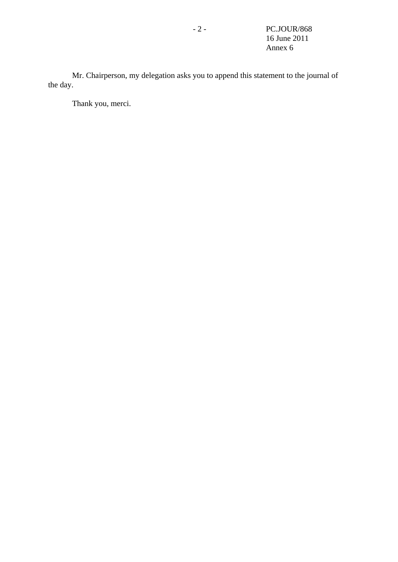Mr. Chairperson, my delegation asks you to append this statement to the journal of the day.

Thank you, merci.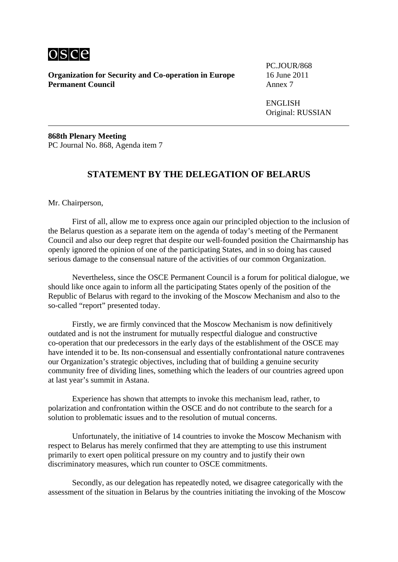

PC.JOUR/868

 ENGLISH Original: RUSSIAN

**868th Plenary Meeting**  PC Journal No. 868, Agenda item 7

### **STATEMENT BY THE DELEGATION OF BELARUS**

Mr. Chairperson,

 First of all, allow me to express once again our principled objection to the inclusion of the Belarus question as a separate item on the agenda of today's meeting of the Permanent Council and also our deep regret that despite our well-founded position the Chairmanship has openly ignored the opinion of one of the participating States, and in so doing has caused serious damage to the consensual nature of the activities of our common Organization.

 Nevertheless, since the OSCE Permanent Council is a forum for political dialogue, we should like once again to inform all the participating States openly of the position of the Republic of Belarus with regard to the invoking of the Moscow Mechanism and also to the so-called "report" presented today.

 Firstly, we are firmly convinced that the Moscow Mechanism is now definitively outdated and is not the instrument for mutually respectful dialogue and constructive co-operation that our predecessors in the early days of the establishment of the OSCE may have intended it to be. Its non-consensual and essentially confrontational nature contravenes our Organization's strategic objectives, including that of building a genuine security community free of dividing lines, something which the leaders of our countries agreed upon at last year's summit in Astana.

 Experience has shown that attempts to invoke this mechanism lead, rather, to polarization and confrontation within the OSCE and do not contribute to the search for a solution to problematic issues and to the resolution of mutual concerns.

 Unfortunately, the initiative of 14 countries to invoke the Moscow Mechanism with respect to Belarus has merely confirmed that they are attempting to use this instrument primarily to exert open political pressure on my country and to justify their own discriminatory measures, which run counter to OSCE commitments.

 Secondly, as our delegation has repeatedly noted, we disagree categorically with the assessment of the situation in Belarus by the countries initiating the invoking of the Moscow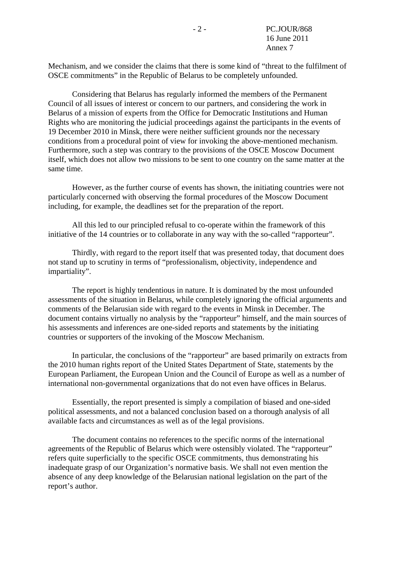Mechanism, and we consider the claims that there is some kind of "threat to the fulfilment of OSCE commitments" in the Republic of Belarus to be completely unfounded.

 Considering that Belarus has regularly informed the members of the Permanent Council of all issues of interest or concern to our partners, and considering the work in Belarus of a mission of experts from the Office for Democratic Institutions and Human Rights who are monitoring the judicial proceedings against the participants in the events of 19 December 2010 in Minsk, there were neither sufficient grounds nor the necessary conditions from a procedural point of view for invoking the above-mentioned mechanism. Furthermore, such a step was contrary to the provisions of the OSCE Moscow Document itself, which does not allow two missions to be sent to one country on the same matter at the same time.

 However, as the further course of events has shown, the initiating countries were not particularly concerned with observing the formal procedures of the Moscow Document including, for example, the deadlines set for the preparation of the report.

 All this led to our principled refusal to co-operate within the framework of this initiative of the 14 countries or to collaborate in any way with the so-called "rapporteur".

 Thirdly, with regard to the report itself that was presented today, that document does not stand up to scrutiny in terms of "professionalism, objectivity, independence and impartiality".

 The report is highly tendentious in nature. It is dominated by the most unfounded assessments of the situation in Belarus, while completely ignoring the official arguments and comments of the Belarusian side with regard to the events in Minsk in December. The document contains virtually no analysis by the "rapporteur" himself, and the main sources of his assessments and inferences are one-sided reports and statements by the initiating countries or supporters of the invoking of the Moscow Mechanism.

 In particular, the conclusions of the "rapporteur" are based primarily on extracts from the 2010 human rights report of the United States Department of State, statements by the European Parliament, the European Union and the Council of Europe as well as a number of international non-governmental organizations that do not even have offices in Belarus.

 Essentially, the report presented is simply a compilation of biased and one-sided political assessments, and not a balanced conclusion based on a thorough analysis of all available facts and circumstances as well as of the legal provisions.

 The document contains no references to the specific norms of the international agreements of the Republic of Belarus which were ostensibly violated. The "rapporteur" refers quite superficially to the specific OSCE commitments, thus demonstrating his inadequate grasp of our Organization's normative basis. We shall not even mention the absence of any deep knowledge of the Belarusian national legislation on the part of the report's author.